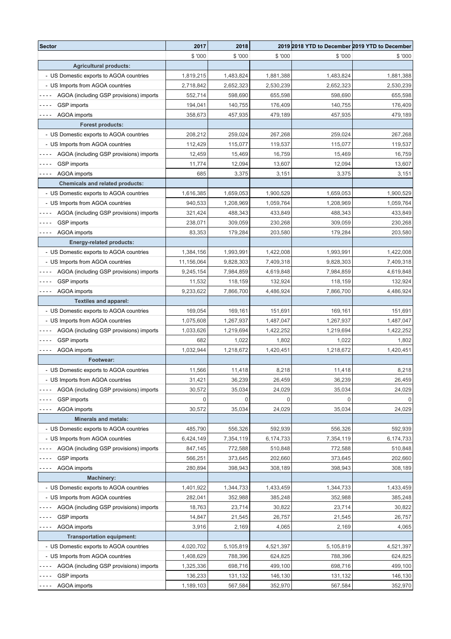| Sector                                  | 2017        | 2018      |           |           | 2019 2018 YTD to December 2019 YTD to December |
|-----------------------------------------|-------------|-----------|-----------|-----------|------------------------------------------------|
|                                         | \$ '000     | \$'000    | \$ '000   | \$ '000   | \$'000                                         |
| <b>Agricultural products:</b>           |             |           |           |           |                                                |
| - US Domestic exports to AGOA countries | 1,819,215   | 1,483,824 | 1,881,388 | 1,483,824 | 1,881,388                                      |
| - US Imports from AGOA countries        | 2,718,842   | 2,652,323 | 2,530,239 | 2,652,323 | 2,530,239                                      |
| AGOA (including GSP provisions) imports | 552,714     | 598,690   | 655,598   | 598,690   | 655,598                                        |
| GSP imports                             | 194,041     | 140,755   | 176,409   | 140,755   | 176,409                                        |
| AGOA imports<br>- - - -                 | 358,673     | 457,935   | 479,189   | 457,935   | 479,189                                        |
| <b>Forest products:</b>                 |             |           |           |           |                                                |
| - US Domestic exports to AGOA countries | 208,212     | 259,024   | 267,268   | 259,024   | 267,268                                        |
| - US Imports from AGOA countries        | 112,429     | 115,077   | 119,537   | 115,077   | 119,537                                        |
| AGOA (including GSP provisions) imports | 12,459      | 15,469    | 16,759    | 15,469    | 16,759                                         |
| <b>GSP</b> imports                      | 11,774      | 12,094    | 13,607    | 12,094    | 13,607                                         |
| AGOA imports<br>- - - -                 | 685         | 3,375     | 3,151     | 3,375     | 3,151                                          |
| <b>Chemicals and related products:</b>  |             |           |           |           |                                                |
| - US Domestic exports to AGOA countries | 1,616,385   | 1,659,053 | 1,900,529 | 1,659,053 | 1,900,529                                      |
| - US Imports from AGOA countries        | 940,533     | 1,208,969 | 1,059,764 | 1,208,969 | 1,059,764                                      |
| AGOA (including GSP provisions) imports | 321,424     | 488,343   | 433,849   | 488,343   | 433,849                                        |
| <b>GSP</b> imports                      | 238,071     | 309,059   | 230,268   | 309,059   | 230,268                                        |
| AGOA imports<br>- - - -                 | 83,353      | 179,284   | 203,580   | 179,284   | 203,580                                        |
| <b>Energy-related products:</b>         |             |           |           |           |                                                |
| - US Domestic exports to AGOA countries | 1,384,156   | 1,993,991 | 1,422,008 | 1,993,991 | 1,422,008                                      |
| - US Imports from AGOA countries        | 11,156,064  | 9,828,303 | 7,409,318 | 9,828,303 | 7,409,318                                      |
| AGOA (including GSP provisions) imports | 9,245,154   | 7,984,859 | 4,619,848 | 7,984,859 | 4,619,848                                      |
| GSP imports                             | 11,532      | 118,159   | 132,924   | 118,159   | 132,924                                        |
| AGOA imports<br>- - - -                 | 9,233,622   | 7,866,700 | 4,486,924 | 7,866,700 | 4,486,924                                      |
| <b>Textiles and apparel:</b>            |             |           |           |           |                                                |
| - US Domestic exports to AGOA countries | 169,054     | 169,161   | 151,691   | 169,161   | 151,691                                        |
| - US Imports from AGOA countries        | 1,075,608   | 1,267,937 | 1,487,047 | 1,267,937 | 1,487,047                                      |
| AGOA (including GSP provisions) imports | 1,033,626   | 1,219,694 | 1,422,252 | 1,219,694 | 1,422,252                                      |
| GSP imports<br>.                        | 682         | 1,022     | 1,802     | 1,022     | 1,802                                          |
| <b>AGOA</b> imports                     | 1,032,944   | 1,218,672 | 1,420,451 | 1,218,672 | 1,420,451                                      |
| Footwear:                               |             |           |           |           |                                                |
| - US Domestic exports to AGOA countries | 11,566      | 11,418    | 8,218     | 11,418    | 8,218                                          |
| - US Imports from AGOA countries        | 31,421      | 36,239    | 26,459    | 36,239    | 26,459                                         |
| AGOA (including GSP provisions) imports | 30,572      | 35,034    | 24,029    | 35,034    | 24,029                                         |
| GSP imports                             | $\mathbf 0$ | 0         |           |           |                                                |
| AGOA imports<br>.                       | 30,572      | 35,034    | 24,029    | 35,034    | 24,029                                         |
| <b>Minerals and metals:</b>             |             |           |           |           |                                                |
| - US Domestic exports to AGOA countries | 485,790     | 556,326   | 592,939   | 556,326   | 592,939                                        |
| - US Imports from AGOA countries        | 6,424,149   | 7,354,119 | 6,174,733 | 7,354,119 | 6,174,733                                      |
| AGOA (including GSP provisions) imports | 847,145     | 772,588   | 510,848   | 772,588   | 510,848                                        |
| <b>GSP</b> imports                      | 566,251     | 373,645   | 202,660   | 373,645   | 202,660                                        |
| <b>AGOA</b> imports<br>$\frac{1}{2}$    | 280,894     | 398,943   | 308,189   | 398,943   | 308,189                                        |
| <b>Machinery:</b>                       |             |           |           |           |                                                |
| - US Domestic exports to AGOA countries | 1,401,922   | 1,344,733 | 1,433,459 | 1,344,733 | 1,433,459                                      |
| - US Imports from AGOA countries        | 282,041     | 352,988   | 385,248   | 352,988   | 385,248                                        |
| AGOA (including GSP provisions) imports | 18,763      | 23,714    | 30,822    | 23,714    | 30,822                                         |
| <b>GSP</b> imports                      | 14,847      | 21,545    | 26,757    | 21,545    | 26,757                                         |
| <b>AGOA</b> imports<br>$\frac{1}{2}$    | 3,916       | 2,169     | 4,065     | 2,169     | 4,065                                          |
| <b>Transportation equipment:</b>        |             |           |           |           |                                                |
| - US Domestic exports to AGOA countries | 4,020,702   | 5,105,819 | 4,521,397 | 5,105,819 | 4,521,397                                      |
| - US Imports from AGOA countries        | 1,408,629   | 788,396   | 624,825   | 788,396   | 624,825                                        |
| AGOA (including GSP provisions) imports | 1,325,336   | 698,716   | 499,100   | 698,716   | 499,100                                        |
| <b>GSP</b> imports                      | 136,233     | 131,132   | 146,130   | 131,132   | 146,130                                        |
| AGOA imports<br>$- - -$                 | 1,189,103   | 567,584   | 352,970   | 567,584   | 352,970                                        |